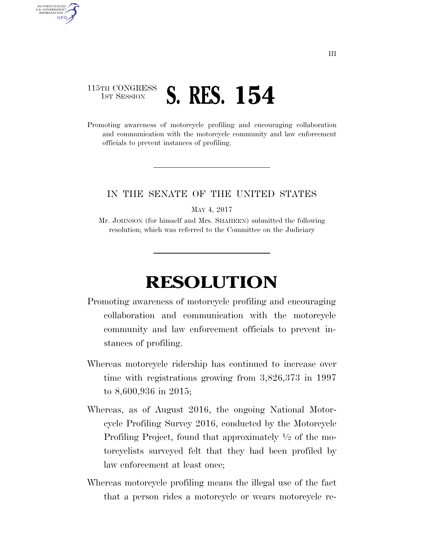## 115TH CONGRESS **1st Session S. RES. 154**

AUTHENTICATED U.S. GOVERNMENT **GPO** 

> Promoting awareness of motorcycle profiling and encouraging collaboration and communication with the motorcycle community and law enforcement officials to prevent instances of profiling.

## IN THE SENATE OF THE UNITED STATES

MAY 4, 2017

Mr. JOHNSON (for himself and Mrs. SHAHEEN) submitted the following resolution; which was referred to the Committee on the Judiciary

## **RESOLUTION**

- Promoting awareness of motorcycle profiling and encouraging collaboration and communication with the motorcycle community and law enforcement officials to prevent instances of profiling.
- Whereas motorcycle ridership has continued to increase over time with registrations growing from 3,826,373 in 1997 to 8,600,936 in 2015;
- Whereas, as of August 2016, the ongoing National Motorcycle Profiling Survey 2016, conducted by the Motorcycle Profiling Project, found that approximately 1⁄2 of the motorcyclists surveyed felt that they had been profiled by law enforcement at least once;
- Whereas motorcycle profiling means the illegal use of the fact that a person rides a motorcycle or wears motorcycle re-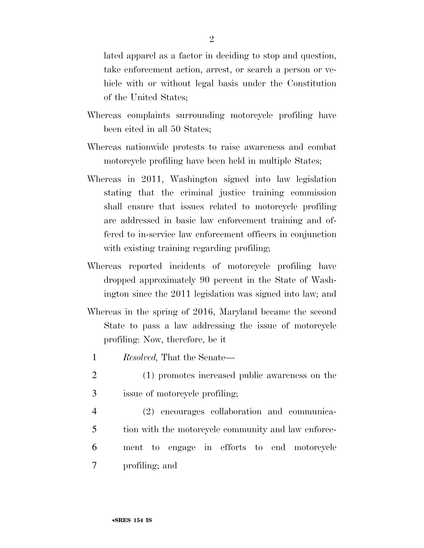lated apparel as a factor in deciding to stop and question, take enforcement action, arrest, or search a person or vehicle with or without legal basis under the Constitution of the United States;

- Whereas complaints surrounding motorcycle profiling have been cited in all 50 States;
- Whereas nationwide protests to raise awareness and combat motorcycle profiling have been held in multiple States;
- Whereas in 2011, Washington signed into law legislation stating that the criminal justice training commission shall ensure that issues related to motorcycle profiling are addressed in basic law enforcement training and offered to in-service law enforcement officers in conjunction with existing training regarding profiling;
- Whereas reported incidents of motorcycle profiling have dropped approximately 90 percent in the State of Washington since the 2011 legislation was signed into law; and
- Whereas in the spring of 2016, Maryland became the second State to pass a law addressing the issue of motorcycle profiling: Now, therefore, be it
	- 1 *Resolved,* That the Senate—
- 2 (1) promotes increased public awareness on the
- 3 issue of motorcycle profiling;
- 4 (2) encourages collaboration and communica-5 tion with the motorcycle community and law enforce-6 ment to engage in efforts to end motorcycle 7 profiling; and